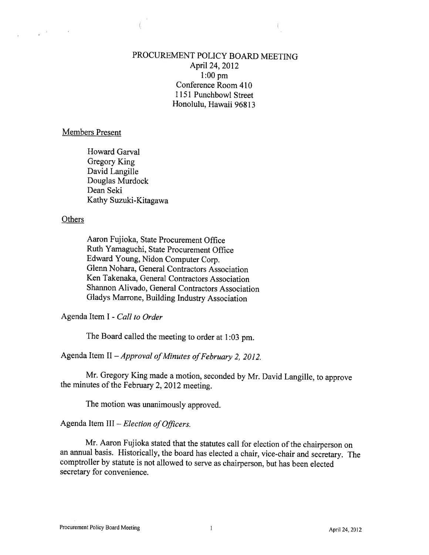## PROCUREMENT POLICY BOARD MEETING April 24, 2012 1:00 pm Conference Room 410 1151 Punchbowl Street Honolulu, Hawaii 96813

### Members Present

Howard Garval Gregory King David Langille Douglas Murdock Dean Seki Kathy Suzuki-Kitagawa

### **Others**

 $\mathbf{r} = \mathbf{r}$ 

Aaron Fujioka, State Procurement Office Ruth Yamaguchi, State Procurement Office Edward Young, Nidon Computer Corp. Glenn Nohara, General Contractors Association Ken Takenaka, General Contractors Association Shannon Alivado, General Contractors Association Gladys Marrone, Building Industry Association

Agenda Item I - Call to Order

The Board called the meeting to order at 1:03 pm.

Agenda Item II - Approval of Minutes of February 2, 2012.

Mr. Gregory King made <sup>a</sup> motion, seconded by Mr. David Langille, to approve the minutes of the February 2, <sup>2012</sup> meeting.

The motion was unanimously approved.

Agenda Item III  $-$  Election of Officers.

Mr. Aaron Fujioka stated that the statutes call for election of the chairperson on an annual basis. Historically, the board has elected <sup>a</sup> chair, vice-chair and secretary. The comptroller by statute is not allowed to serve as chairperson, but has been elected secretary for convenience.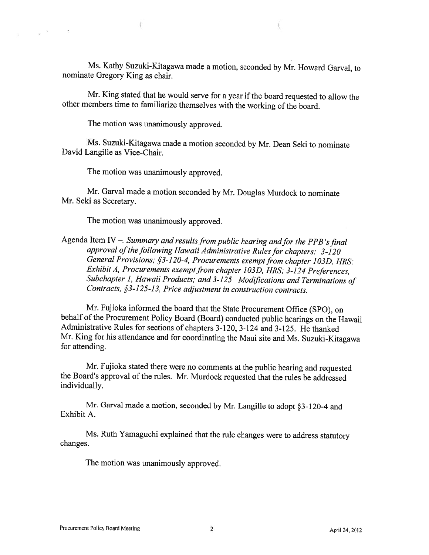Ms. Kathy Suzuki-Kitagawa made <sup>a</sup> motion, seconded by Mr. Howard Garval, to nominate Gregory King as chair.

Mr. King stated that he would serve for <sup>a</sup> year if the board requested to allow the other members time to familiarize themselves with the working of the board.

The motion was unanimously approved.

 $\chi=20$ 

 $\sim$ 

Ms. Suzuki-Kitagawa made <sup>a</sup> motion seconded by Mr. Dean Seki to nominate David Langille as Vice-Chair.

The motion was unanimously approved.

Mr. Garval made <sup>a</sup> motion seconded by Mr. Douglas Murdock to nominate Mr. Seki as Secretary.

The motion was unanimously approved.

Agenda Item IV  $-$ . Summary and results from public hearing and for the PPB's final approval of the following Hawaii Administrative Rules for chapters: 3-120 General Provisions; §3-120-4, Procurements exempt from chapter 103D, HRS; Exhibit A, Procurements exempt from chapter 103D, HRS; 3-124 Preferences, Subchapter 1, Hawaii Products; and 3-125 Modifications and Terminations of Contracts, §3-125-13, Price adjustment in construction contracts.

Mr. Fujioka informed the board that the State Procurement Office (SPO), on behalf of the Procurement Policy Board (Board) conducted public hearings on the Hawaii Administrative Rules for sections of chapters 3-120, 3-124 and 3-125. He thanked Mr. King for his attendance and for coordinating the Maui site and Ms. Suzuki-Kitagawa for attending.

Mr. Fujioka stated there were no comments at the public hearing and requested the Board's approval of the rules. Mr. Murdock requested that the rules be addressed individually.

Mr. Garval made <sup>a</sup> motion, seconded by Mr. Langille to adopt §3-120-4 and Exhibit A.

Ms. Ruth Yamaguchi explained that the rule changes were to address statutory changes.

The motion was unanimously approved.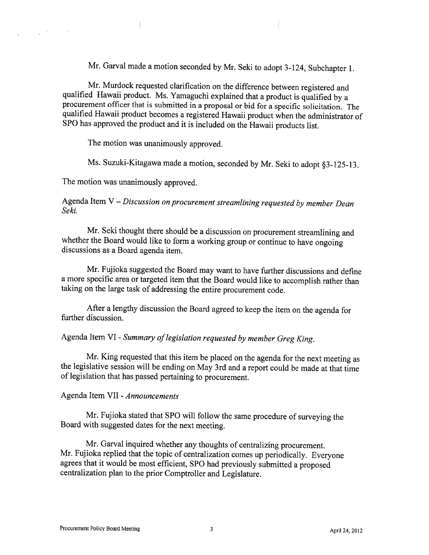Mr. Garval made <sup>a</sup> motion seconded by Mr. Seki to adopt 3-124, Subchapter 1.

Mr. Murdock requested clarification on the difference between registered and qualified Hawaii product. Ms. Yamaguchi explained that <sup>a</sup> product is qualified by <sup>a</sup> procurement officer that is submitted in <sup>a</sup> proposal or bid for <sup>a</sup> specific solicitation. The qualified Hawaii product becomes <sup>a</sup> registered Hawaii product when the administrator of SPO has approved the product and it is included on the Hawaii products list.

The motion was unanimously approved.

 $\left($ 

 $\alpha = \frac{1}{2}$ 

Ms. Suzuki-Kitagawa made <sup>a</sup> motion, seconded by Mr. Seki to adopt §3-125-13.

The motion was unanimously approved.

Agenda Item V – Discussion on procurement streamlining requested by member Dean Seki.

Mr. Seki thought there should be <sup>a</sup> discussion on procurement streamlining and whether the Board would like to form <sup>a</sup> working group or continue to have ongoing discussions as <sup>a</sup> Board agenda item.

Mr. Fujioka suggested the Board may want to have further discussions and define <sup>a</sup> more specific area or targeted item that the Board would like to accomplish rather than taking on the large task of addressing the entire procurement code.

After <sup>a</sup> lengthy discussion the Board agreed to keep the item on the agenda for further discussion.

Agenda Item VI - Summary of legislation requested by member Greg King.

Mr. King requested that this item be <sup>p</sup>laced on the agenda for the next meeting as the legislative session will be ending on May 3rd and <sup>a</sup> report could be made at that time of legislation that has passed pertaining to procurement.

### Agenda Item VII -Announcements

Mr. Fujioka stated that SPO will follow the same procedure of surveying the Board with suggested dates for the next meeting.

Mr. Garval inquired whether any thoughts of centralizing procurement. Mr. Fujioka replied that the topic of centralization comes up periodically. Everyone agrees that it would be most efficient, SPO had previously submitted <sup>a</sup> proposed centralization <sup>p</sup>lan to the prior Comptroller and Legislature.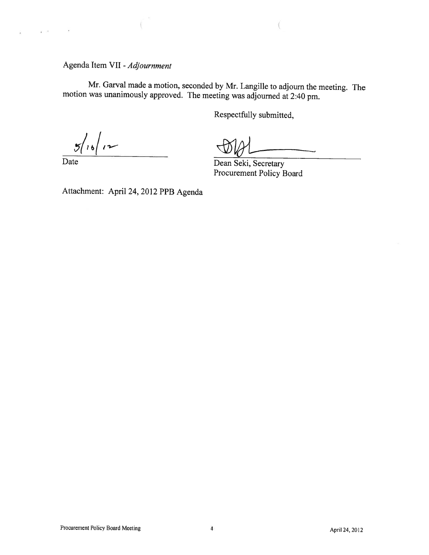# Agenda Item VII - Adjournment

Mr. Garval made <sup>a</sup> motion, seconded by Mr. Langille to adjourn the meeting. The motion was unanimously approved. The meeting was adjourned at 2:40 pm.

Respectfully submitted,

 $\frac{1}{16}$   $\frac{1}{2}$ 

 $\bar{\mathbf{r}}$   $\approx$ 

 $\bar{t}$ 

Date Dean Seki, Secretary Procurement Policy Board

Attachment: April 24, <sup>2012</sup> PPB Agenda